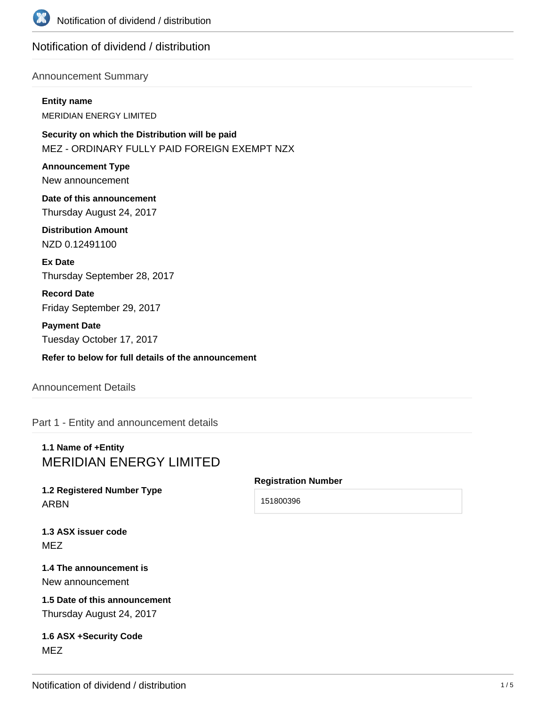

## Notification of dividend / distribution

### Announcement Summary

#### **Entity name**

MERIDIAN ENERGY LIMITED

**Security on which the Distribution will be paid** MEZ - ORDINARY FULLY PAID FOREIGN EXEMPT NZX

**Announcement Type** New announcement

**Date of this announcement** Thursday August 24, 2017

**Distribution Amount** NZD 0.12491100

**Ex Date** Thursday September 28, 2017

**Record Date** Friday September 29, 2017

**Payment Date** Tuesday October 17, 2017

**Refer to below for full details of the announcement**

## Announcement Details

Part 1 - Entity and announcement details

## **1.1 Name of +Entity** MERIDIAN ENERGY LIMITED

## **1.2 Registered Number Type** ARBN

### **Registration Number**

151800396

**1.3 ASX issuer code** MEZ

### **1.4 The announcement is** New announcement

**1.5 Date of this announcement** Thursday August 24, 2017

### **1.6 ASX +Security Code** MEZ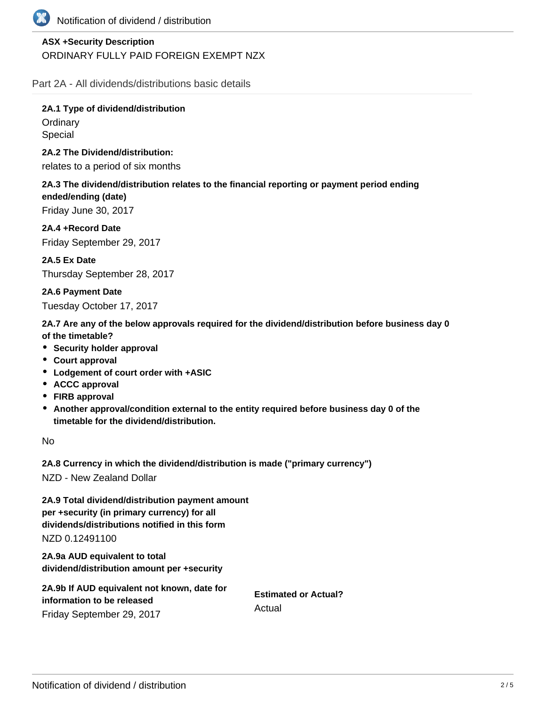

## **ASX +Security Description** ORDINARY FULLY PAID FOREIGN EXEMPT NZX

Part 2A - All dividends/distributions basic details

**2A.1 Type of dividend/distribution Ordinary** Special

**2A.2 The Dividend/distribution:**

relates to a period of six months

**2A.3 The dividend/distribution relates to the financial reporting or payment period ending ended/ending (date)** Friday June 30, 2017

**2A.4 +Record Date**

Friday September 29, 2017

**2A.5 Ex Date** Thursday September 28, 2017

**2A.6 Payment Date**

Tuesday October 17, 2017

**2A.7 Are any of the below approvals required for the dividend/distribution before business day 0 of the timetable?**

- **•** Security holder approval
- **Court approval**
- **Lodgement of court order with +ASIC**
- **ACCC approval**
- **FIRB approval**
- **Another approval/condition external to the entity required before business day 0 of the timetable for the dividend/distribution.**

No

**2A.8 Currency in which the dividend/distribution is made ("primary currency")**

NZD - New Zealand Dollar

**2A.9 Total dividend/distribution payment amount per +security (in primary currency) for all dividends/distributions notified in this form** NZD 0.12491100

**2A.9a AUD equivalent to total dividend/distribution amount per +security**

| 2A.9b If AUD equivalent not known, date for | <b>Estimated or Actual?</b><br>Actual |
|---------------------------------------------|---------------------------------------|
| information to be released                  |                                       |
| Friday September 29, 2017                   |                                       |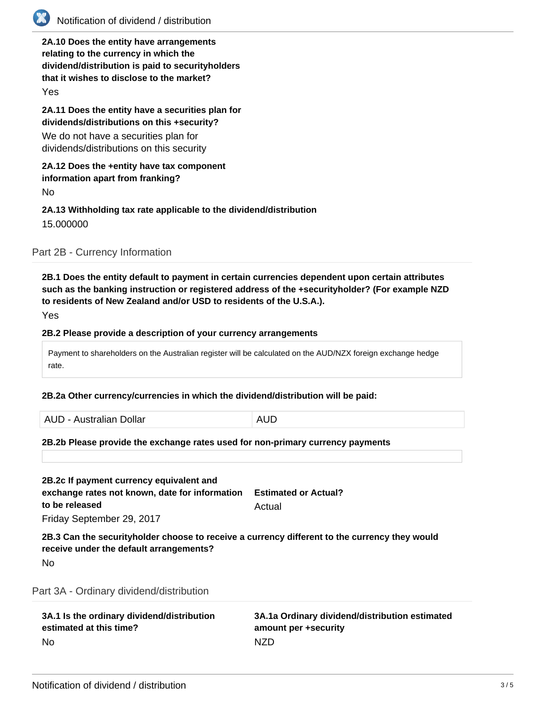

# Notification of dividend / distribution

**2A.10 Does the entity have arrangements relating to the currency in which the dividend/distribution is paid to securityholders that it wishes to disclose to the market?**

Yes

**2A.11 Does the entity have a securities plan for dividends/distributions on this +security?**

We do not have a securities plan for dividends/distributions on this security

#### **2A.12 Does the +entity have tax component information apart from franking?**

No

### **2A.13 Withholding tax rate applicable to the dividend/distribution** 15.000000

Part 2B - Currency Information

**2B.1 Does the entity default to payment in certain currencies dependent upon certain attributes such as the banking instruction or registered address of the +securityholder? (For example NZD to residents of New Zealand and/or USD to residents of the U.S.A.).**

Yes

#### **2B.2 Please provide a description of your currency arrangements**

Payment to shareholders on the Australian register will be calculated on the AUD/NZX foreign exchange hedge rate.

#### **2B.2a Other currency/currencies in which the dividend/distribution will be paid:**

AUD - Australian Dollar **AUD** 

#### **2B.2b Please provide the exchange rates used for non-primary currency payments**

**2B.2c If payment currency equivalent and exchange rates not known, date for information to be released** Friday September 29, 2017 **Estimated or Actual?** Actual

## **2B.3 Can the securityholder choose to receive a currency different to the currency they would receive under the default arrangements?**

No

### Part 3A - Ordinary dividend/distribution

| 3A.1 Is the ordinary dividend/distribution | 3A.1a Ordinary dividend/distribution estimated |
|--------------------------------------------|------------------------------------------------|
| estimated at this time?                    | amount per +security                           |
| No                                         | <b>NZD</b>                                     |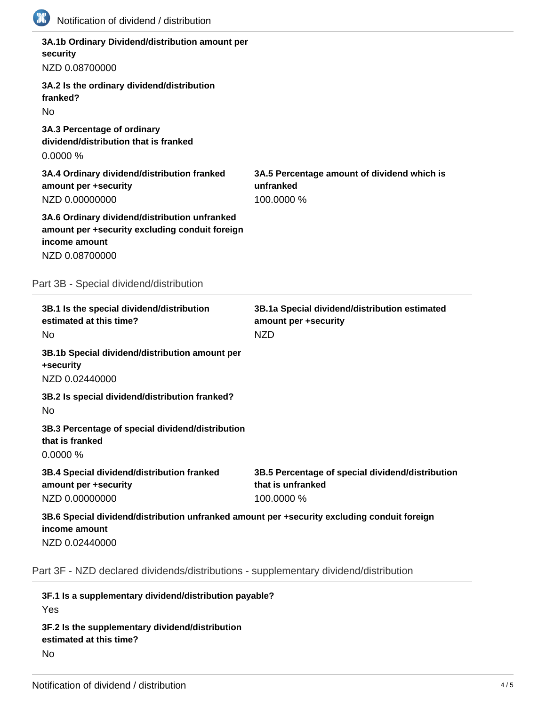| Notification of dividend / distribution                                                                                            |                                                                                     |
|------------------------------------------------------------------------------------------------------------------------------------|-------------------------------------------------------------------------------------|
| 3A.1b Ordinary Dividend/distribution amount per<br>security<br>NZD 0.08700000                                                      |                                                                                     |
| 3A.2 Is the ordinary dividend/distribution<br>franked?<br><b>No</b>                                                                |                                                                                     |
| 3A.3 Percentage of ordinary<br>dividend/distribution that is franked<br>0.0000%                                                    |                                                                                     |
| 3A.4 Ordinary dividend/distribution franked<br>amount per +security<br>NZD 0.00000000                                              | 3A.5 Percentage amount of dividend which is<br>unfranked<br>100.0000 %              |
| 3A.6 Ordinary dividend/distribution unfranked<br>amount per +security excluding conduit foreign<br>income amount<br>NZD 0.08700000 |                                                                                     |
| Part 3B - Special dividend/distribution                                                                                            |                                                                                     |
| 3B.1 Is the special dividend/distribution<br>estimated at this time?<br>No                                                         | 3B.1a Special dividend/distribution estimated<br>amount per +security<br><b>NZD</b> |
| 3B.1b Special dividend/distribution amount per<br>+security<br>NZD 0.02440000                                                      |                                                                                     |
| 3B.2 Is special dividend/distribution franked?<br>No                                                                               |                                                                                     |
| 3B.3 Percentage of special dividend/distribution<br>that is franked<br>0.0000%                                                     |                                                                                     |
| 3B.4 Special dividend/distribution franked<br>amount per +security<br>NZD 0.00000000                                               | 3B.5 Percentage of special dividend/distribution<br>that is unfranked<br>100.0000 % |
| 3B.6 Special dividend/distribution unfranked amount per +security excluding conduit foreign<br>income amount<br>NZD 0.02440000     |                                                                                     |
| Part 3F - NZD declared dividends/distributions - supplementary dividend/distribution                                               |                                                                                     |
|                                                                                                                                    |                                                                                     |

**3F.1 Is a supplementary dividend/distribution payable?** Yes **3F.2 Is the supplementary dividend/distribution estimated at this time?** No